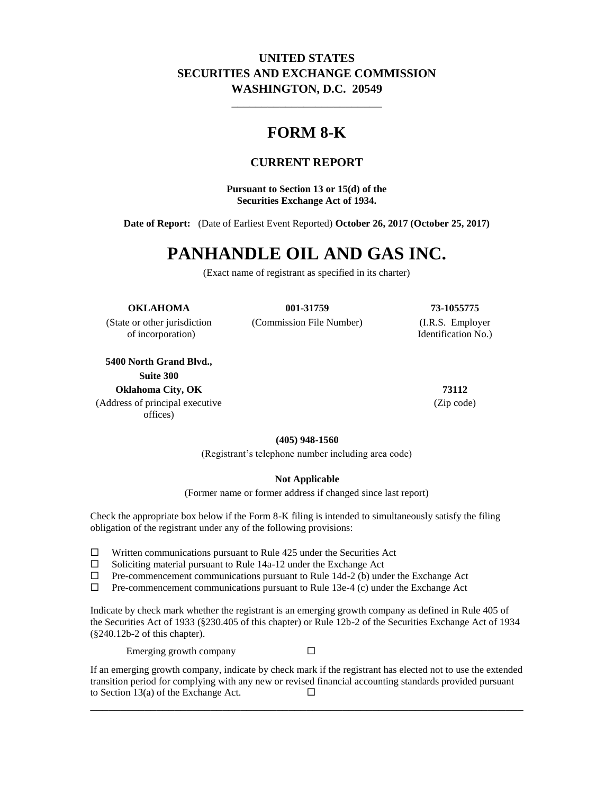### **UNITED STATES SECURITIES AND EXCHANGE COMMISSION WASHINGTON, D.C. 20549**

\_\_\_\_\_\_\_\_\_\_\_\_\_\_\_\_\_\_\_\_\_\_\_\_\_

# **FORM 8-K**

#### **CURRENT REPORT**

**Pursuant to Section 13 or 15(d) of the Securities Exchange Act of 1934.**

**Date of Report:** (Date of Earliest Event Reported) **October 26, 2017 (October 25, 2017)**

# **PANHANDLE OIL AND GAS INC.**

(Exact name of registrant as specified in its charter)

#### **OKLAHOMA 001-31759 73-1055775**

of incorporation) Identification No.)

**5400 North Grand Blvd., Suite 300 Oklahoma City, OK 73112**

(Address of principal executive offices)

(State or other jurisdiction (Commission File Number) (I.R.S. Employer

(Zip code)

**(405) 948-1560**

(Registrant's telephone number including area code)

#### **Not Applicable**

(Former name or former address if changed since last report)

Check the appropriate box below if the Form 8-K filing is intended to simultaneously satisfy the filing obligation of the registrant under any of the following provisions:

- $\Box$  Written communications pursuant to Rule 425 under the Securities Act
- $\square$  Soliciting material pursuant to Rule 14a-12 under the Exchange Act  $\square$  Pre-commencement communications pursuant to Rule 14d-2 (b) und
- Pre-commencement communications pursuant to Rule 14d-2 (b) under the Exchange Act
- $\Box$  Pre-commencement communications pursuant to Rule 13e-4 (c) under the Exchange Act

Indicate by check mark whether the registrant is an emerging growth company as defined in Rule 405 of the Securities Act of 1933 (§230.405 of this chapter) or Rule 12b-2 of the Securities Exchange Act of 1934 (§240.12b-2 of this chapter).

Emerging growth company  $\square$ 

If an emerging growth company, indicate by check mark if the registrant has elected not to use the extended transition period for complying with any new or revised financial accounting standards provided pursuant to Section 13(a) of the Exchange Act.  $\Box$ \_\_\_\_\_\_\_\_\_\_\_\_\_\_\_\_\_\_\_\_\_\_\_\_\_\_\_\_\_\_\_\_\_\_\_\_\_\_\_\_\_\_\_\_\_\_\_\_\_\_\_\_\_\_\_\_\_\_\_\_\_\_\_\_\_\_\_\_\_\_\_\_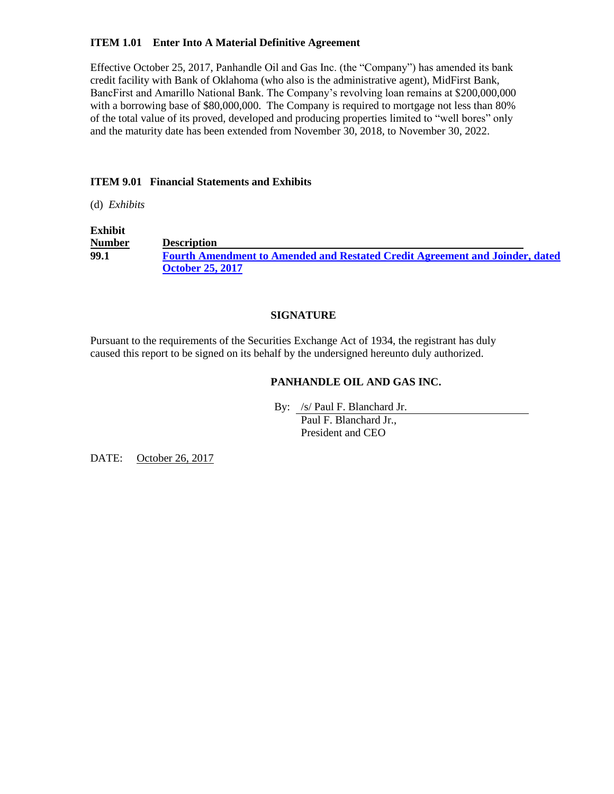#### **ITEM 1.01 Enter Into A Material Definitive Agreement**

Effective October 25, 2017, Panhandle Oil and Gas Inc. (the "Company") has amended its bank credit facility with Bank of Oklahoma (who also is the administrative agent), MidFirst Bank, BancFirst and Amarillo National Bank. The Company's revolving loan remains at \$200,000,000 with a borrowing base of \$80,000,000. The Company is required to mortgage not less than 80% of the total value of its proved, developed and producing properties limited to "well bores" only and the maturity date has been extended from November 30, 2018, to November 30, 2022.

#### **ITEM 9.01 Financial Statements and Exhibits**

(d) *Exhibits*

#### **Exhibit Number Description 99.1 [Fourth Amendment to Amended and Restated Credit Agreement and Joinder, dated](file:///C:/Users/smorris/AppData/Local/Temp/Temp1_Draft%20Version%2018.0.zip/Proof/phx-ex991_6.htm)  [October 25, 2017](file:///C:/Users/smorris/AppData/Local/Temp/Temp1_Draft%20Version%2018.0.zip/Proof/phx-ex991_6.htm)**

#### **SIGNATURE**

Pursuant to the requirements of the Securities Exchange Act of 1934, the registrant has duly caused this report to be signed on its behalf by the undersigned hereunto duly authorized.

#### **PANHANDLE OIL AND GAS INC.**

By: /s/ Paul F. Blanchard Jr.

Paul F. Blanchard Jr., President and CEO

DATE: October 26, 2017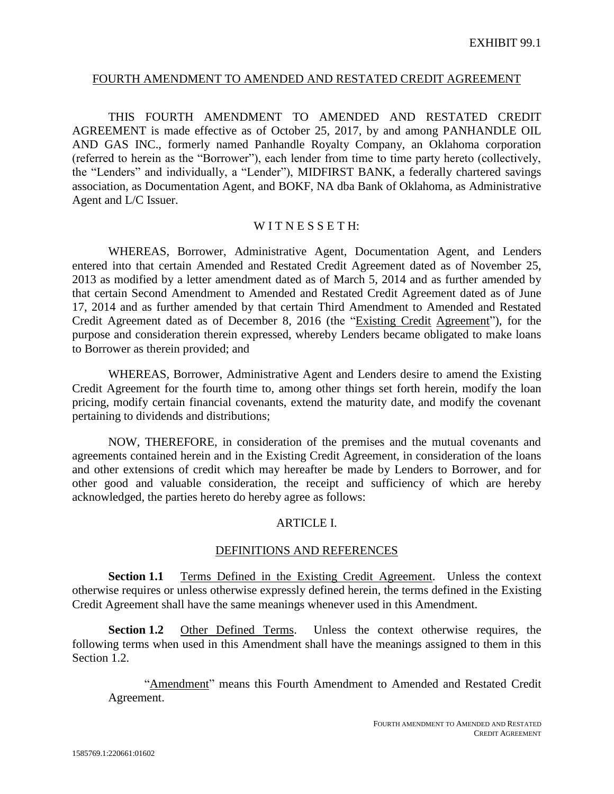#### FOURTH AMENDMENT TO AMENDED AND RESTATED CREDIT AGREEMENT

THIS FOURTH AMENDMENT TO AMENDED AND RESTATED CREDIT AGREEMENT is made effective as of October 25, 2017, by and among PANHANDLE OIL AND GAS INC., formerly named Panhandle Royalty Company, an Oklahoma corporation (referred to herein as the "Borrower"), each lender from time to time party hereto (collectively, the "Lenders" and individually, a "Lender"), MIDFIRST BANK, a federally chartered savings association, as Documentation Agent, and BOKF, NA dba Bank of Oklahoma, as Administrative Agent and L/C Issuer.

#### WITNESSETH:

WHEREAS, Borrower, Administrative Agent, Documentation Agent, and Lenders entered into that certain Amended and Restated Credit Agreement dated as of November 25, 2013 as modified by a letter amendment dated as of March 5, 2014 and as further amended by that certain Second Amendment to Amended and Restated Credit Agreement dated as of June 17, 2014 and as further amended by that certain Third Amendment to Amended and Restated Credit Agreement dated as of December 8, 2016 (the "Existing Credit Agreement"), for the purpose and consideration therein expressed, whereby Lenders became obligated to make loans to Borrower as therein provided; and

WHEREAS, Borrower, Administrative Agent and Lenders desire to amend the Existing Credit Agreement for the fourth time to, among other things set forth herein, modify the loan pricing, modify certain financial covenants, extend the maturity date, and modify the covenant pertaining to dividends and distributions;

NOW, THEREFORE, in consideration of the premises and the mutual covenants and agreements contained herein and in the Existing Credit Agreement, in consideration of the loans and other extensions of credit which may hereafter be made by Lenders to Borrower, and for other good and valuable consideration, the receipt and sufficiency of which are hereby acknowledged, the parties hereto do hereby agree as follows:

#### ARTICLE I.

#### DEFINITIONS AND REFERENCES

**Section 1.1** Terms Defined in the Existing Credit Agreement. Unless the context otherwise requires or unless otherwise expressly defined herein, the terms defined in the Existing Credit Agreement shall have the same meanings whenever used in this Amendment.

**Section 1.2** Other Defined Terms. Unless the context otherwise requires, the following terms when used in this Amendment shall have the meanings assigned to them in this Section 1.2.

"Amendment" means this Fourth Amendment to Amended and Restated Credit Agreement.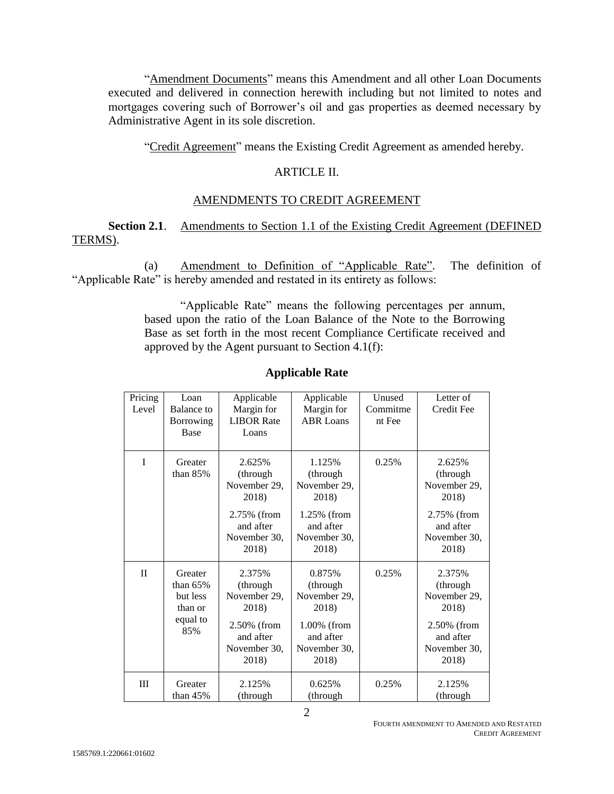"Amendment Documents" means this Amendment and all other Loan Documents executed and delivered in connection herewith including but not limited to notes and mortgages covering such of Borrower's oil and gas properties as deemed necessary by Administrative Agent in its sole discretion.

"Credit Agreement" means the Existing Credit Agreement as amended hereby.

#### ARTICLE II.

### AMENDMENTS TO CREDIT AGREEMENT

**Section 2.1.** Amendments to Section 1.1 of the Existing Credit Agreement (DEFINED TERMS).

(a) Amendment to Definition of "Applicable Rate". The definition of "Applicable Rate" is hereby amended and restated in its entirety as follows:

> "Applicable Rate" means the following percentages per annum, based upon the ratio of the Loan Balance of the Note to the Borrowing Base as set forth in the most recent Compliance Certificate received and approved by the Agent pursuant to Section 4.1(f):

| Pricing<br>Level | Loan<br>Balance to<br>Borrowing<br>Base                         | Applicable<br>Margin for<br><b>LIBOR Rate</b><br>Loans                                           | Applicable<br>Margin for<br><b>ABR</b> Loans                                                     | Unused<br>Commitme<br>nt Fee | Letter of<br>Credit Fee                                                                          |
|------------------|-----------------------------------------------------------------|--------------------------------------------------------------------------------------------------|--------------------------------------------------------------------------------------------------|------------------------------|--------------------------------------------------------------------------------------------------|
| I                | Greater<br>than $85%$                                           | 2.625%<br>(through<br>November 29,<br>2018)<br>2.75% (from<br>and after<br>November 30,<br>2018) | 1.125%<br>(through<br>November 29,<br>2018)<br>1.25% (from<br>and after<br>November 30,<br>2018) | 0.25%                        | 2.625%<br>(through<br>November 29,<br>2018)<br>2.75% (from<br>and after<br>November 30,<br>2018) |
| $\mathbf{I}$     | Greater<br>than $65%$<br>but less<br>than or<br>equal to<br>85% | 2.375%<br>(through<br>November 29,<br>2018)<br>2.50% (from<br>and after<br>November 30,<br>2018) | 0.875%<br>(through<br>November 29,<br>2018)<br>1.00% (from<br>and after<br>November 30,<br>2018) | 0.25%                        | 2.375%<br>(through<br>November 29,<br>2018)<br>2.50% (from<br>and after<br>November 30,<br>2018) |
| Ш                | Greater<br>than $45%$                                           | 2.125%<br>(through                                                                               | 0.625%<br>(through                                                                               | 0.25%                        | 2.125%<br>(through                                                                               |

#### **Applicable Rate**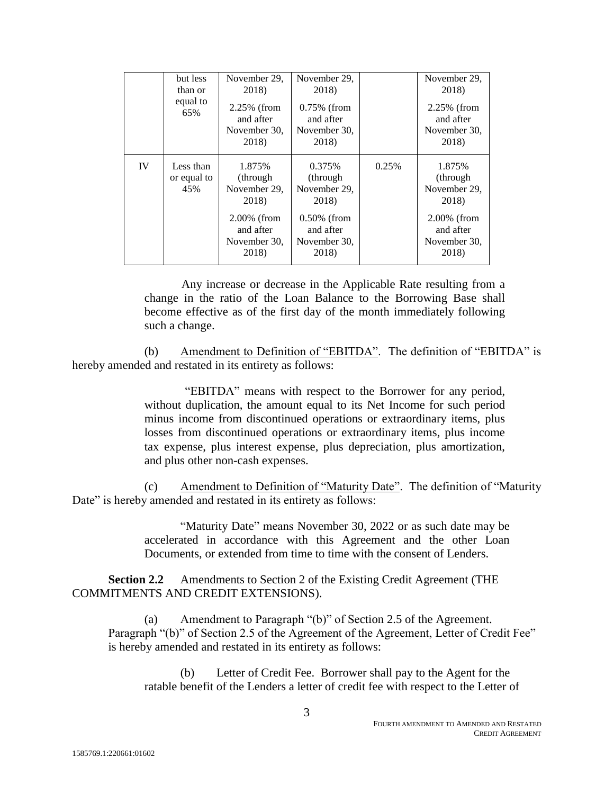|    | but less<br>than or<br>equal to<br>65% | November 29.<br>2018)<br>2.25% (from<br>and after<br>November 30,<br>2018)                           | November 29,<br>2018)<br>$0.75\%$ (from<br>and after<br>November 30,<br>2018)                        |       | November 29,<br>2018)<br>2.25% (from<br>and after<br>November 30,<br>2018)                           |
|----|----------------------------------------|------------------------------------------------------------------------------------------------------|------------------------------------------------------------------------------------------------------|-------|------------------------------------------------------------------------------------------------------|
| IV | Less than<br>or equal to<br>45%        | 1.875%<br>(through)<br>November 29,<br>2018)<br>$2.00\%$ (from<br>and after<br>November 30,<br>2018) | 0.375%<br>(through)<br>November 29,<br>2018)<br>$0.50\%$ (from<br>and after<br>November 30,<br>2018) | 0.25% | 1.875%<br>(through)<br>November 29,<br>2018)<br>$2.00\%$ (from<br>and after<br>November 30,<br>2018) |

Any increase or decrease in the Applicable Rate resulting from a change in the ratio of the Loan Balance to the Borrowing Base shall become effective as of the first day of the month immediately following such a change.

(b) Amendment to Definition of "EBITDA". The definition of "EBITDA" is hereby amended and restated in its entirety as follows:

> "EBITDA" means with respect to the Borrower for any period, without duplication, the amount equal to its Net Income for such period minus income from discontinued operations or extraordinary items, plus losses from discontinued operations or extraordinary items, plus income tax expense, plus interest expense, plus depreciation, plus amortization, and plus other non-cash expenses.

(c) Amendment to Definition of "Maturity Date". The definition of "Maturity Date" is hereby amended and restated in its entirety as follows:

> "Maturity Date" means November 30, 2022 or as such date may be accelerated in accordance with this Agreement and the other Loan Documents, or extended from time to time with the consent of Lenders.

**Section 2.2** Amendments to Section 2 of the Existing Credit Agreement (THE COMMITMENTS AND CREDIT EXTENSIONS).

(a) Amendment to Paragraph "(b)" of Section 2.5 of the Agreement. Paragraph "(b)" of Section 2.5 of the Agreement of the Agreement, Letter of Credit Fee" is hereby amended and restated in its entirety as follows:

(b) Letter of Credit Fee. Borrower shall pay to the Agent for the ratable benefit of the Lenders a letter of credit fee with respect to the Letter of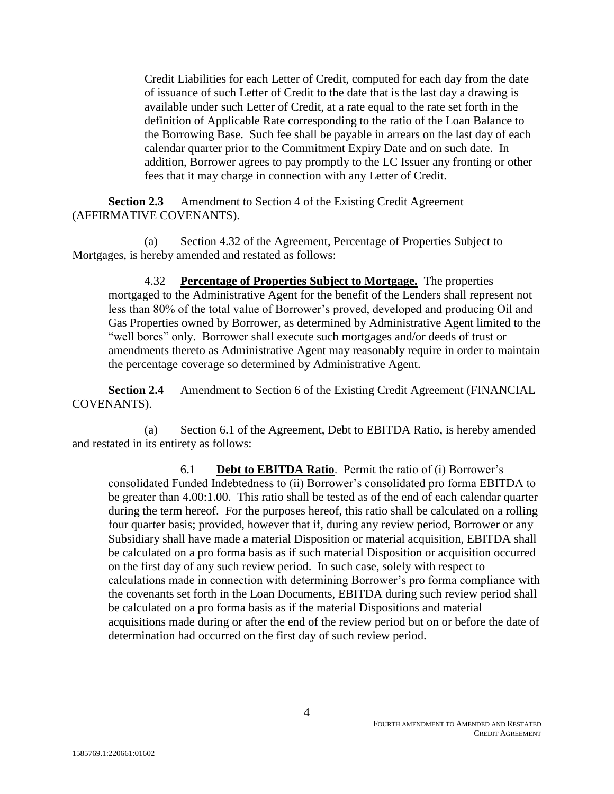Credit Liabilities for each Letter of Credit, computed for each day from the date of issuance of such Letter of Credit to the date that is the last day a drawing is available under such Letter of Credit, at a rate equal to the rate set forth in the definition of Applicable Rate corresponding to the ratio of the Loan Balance to the Borrowing Base. Such fee shall be payable in arrears on the last day of each calendar quarter prior to the Commitment Expiry Date and on such date. In addition, Borrower agrees to pay promptly to the LC Issuer any fronting or other fees that it may charge in connection with any Letter of Credit.

**Section 2.3** Amendment to Section 4 of the Existing Credit Agreement (AFFIRMATIVE COVENANTS).

(a) Section 4.32 of the Agreement, Percentage of Properties Subject to Mortgages, is hereby amended and restated as follows:

4.32 **Percentage of Properties Subject to Mortgage.** The properties mortgaged to the Administrative Agent for the benefit of the Lenders shall represent not less than 80% of the total value of Borrower's proved, developed and producing Oil and Gas Properties owned by Borrower, as determined by Administrative Agent limited to the "well bores" only. Borrower shall execute such mortgages and/or deeds of trust or amendments thereto as Administrative Agent may reasonably require in order to maintain the percentage coverage so determined by Administrative Agent.

**Section 2.4** Amendment to Section 6 of the Existing Credit Agreement (FINANCIAL COVENANTS).

(a) Section 6.1 of the Agreement, Debt to EBITDA Ratio, is hereby amended and restated in its entirety as follows:

6.1 **Debt to EBITDA Ratio**. Permit the ratio of (i) Borrower's consolidated Funded Indebtedness to (ii) Borrower's consolidated pro forma EBITDA to be greater than 4.00:1.00. This ratio shall be tested as of the end of each calendar quarter during the term hereof. For the purposes hereof, this ratio shall be calculated on a rolling four quarter basis; provided, however that if, during any review period, Borrower or any Subsidiary shall have made a material Disposition or material acquisition, EBITDA shall be calculated on a pro forma basis as if such material Disposition or acquisition occurred on the first day of any such review period. In such case, solely with respect to calculations made in connection with determining Borrower's pro forma compliance with the covenants set forth in the Loan Documents, EBITDA during such review period shall be calculated on a pro forma basis as if the material Dispositions and material acquisitions made during or after the end of the review period but on or before the date of determination had occurred on the first day of such review period.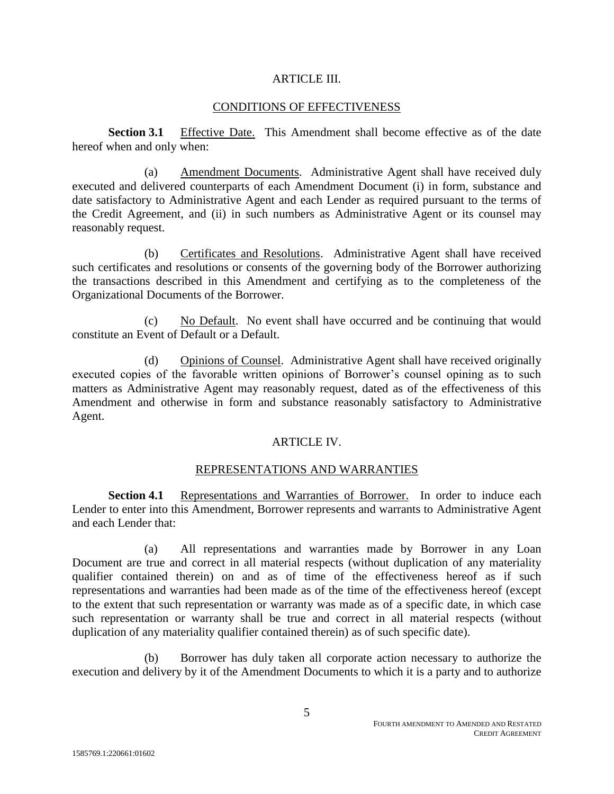#### ARTICLE III.

#### CONDITIONS OF EFFECTIVENESS

**Section 3.1** Effective Date. This Amendment shall become effective as of the date hereof when and only when:

(a) Amendment Documents. Administrative Agent shall have received duly executed and delivered counterparts of each Amendment Document (i) in form, substance and date satisfactory to Administrative Agent and each Lender as required pursuant to the terms of the Credit Agreement, and (ii) in such numbers as Administrative Agent or its counsel may reasonably request.

(b) Certificates and Resolutions. Administrative Agent shall have received such certificates and resolutions or consents of the governing body of the Borrower authorizing the transactions described in this Amendment and certifying as to the completeness of the Organizational Documents of the Borrower.

(c) No Default. No event shall have occurred and be continuing that would constitute an Event of Default or a Default.

(d) Opinions of Counsel. Administrative Agent shall have received originally executed copies of the favorable written opinions of Borrower's counsel opining as to such matters as Administrative Agent may reasonably request, dated as of the effectiveness of this Amendment and otherwise in form and substance reasonably satisfactory to Administrative Agent.

#### ARTICLE IV.

#### REPRESENTATIONS AND WARRANTIES

**Section 4.1** Representations and Warranties of Borrower. In order to induce each Lender to enter into this Amendment, Borrower represents and warrants to Administrative Agent and each Lender that:

(a) All representations and warranties made by Borrower in any Loan Document are true and correct in all material respects (without duplication of any materiality qualifier contained therein) on and as of time of the effectiveness hereof as if such representations and warranties had been made as of the time of the effectiveness hereof (except to the extent that such representation or warranty was made as of a specific date, in which case such representation or warranty shall be true and correct in all material respects (without duplication of any materiality qualifier contained therein) as of such specific date).

(b) Borrower has duly taken all corporate action necessary to authorize the execution and delivery by it of the Amendment Documents to which it is a party and to authorize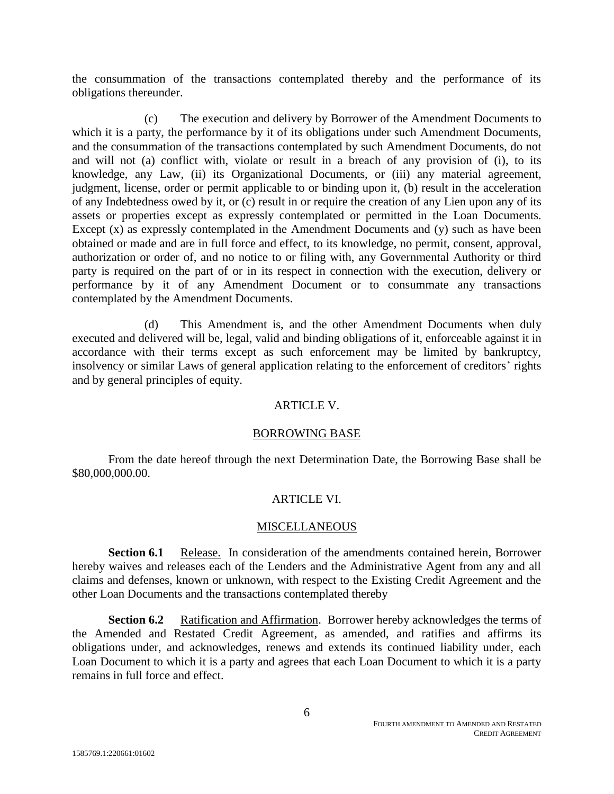the consummation of the transactions contemplated thereby and the performance of its obligations thereunder.

(c) The execution and delivery by Borrower of the Amendment Documents to which it is a party, the performance by it of its obligations under such Amendment Documents, and the consummation of the transactions contemplated by such Amendment Documents, do not and will not (a) conflict with, violate or result in a breach of any provision of (i), to its knowledge, any Law, (ii) its Organizational Documents, or (iii) any material agreement, judgment, license, order or permit applicable to or binding upon it, (b) result in the acceleration of any Indebtedness owed by it, or (c) result in or require the creation of any Lien upon any of its assets or properties except as expressly contemplated or permitted in the Loan Documents. Except (x) as expressly contemplated in the Amendment Documents and (y) such as have been obtained or made and are in full force and effect, to its knowledge, no permit, consent, approval, authorization or order of, and no notice to or filing with, any Governmental Authority or third party is required on the part of or in its respect in connection with the execution, delivery or performance by it of any Amendment Document or to consummate any transactions contemplated by the Amendment Documents.

(d) This Amendment is, and the other Amendment Documents when duly executed and delivered will be, legal, valid and binding obligations of it, enforceable against it in accordance with their terms except as such enforcement may be limited by bankruptcy, insolvency or similar Laws of general application relating to the enforcement of creditors' rights and by general principles of equity.

#### ARTICLE V.

#### BORROWING BASE

From the date hereof through the next Determination Date, the Borrowing Base shall be \$80,000,000.00.

### ARTICLE VI.

#### MISCELLANEOUS

**Section 6.1** Release. In consideration of the amendments contained herein, Borrower hereby waives and releases each of the Lenders and the Administrative Agent from any and all claims and defenses, known or unknown, with respect to the Existing Credit Agreement and the other Loan Documents and the transactions contemplated thereby

**Section 6.2** Ratification and Affirmation. Borrower hereby acknowledges the terms of the Amended and Restated Credit Agreement, as amended, and ratifies and affirms its obligations under, and acknowledges, renews and extends its continued liability under, each Loan Document to which it is a party and agrees that each Loan Document to which it is a party remains in full force and effect.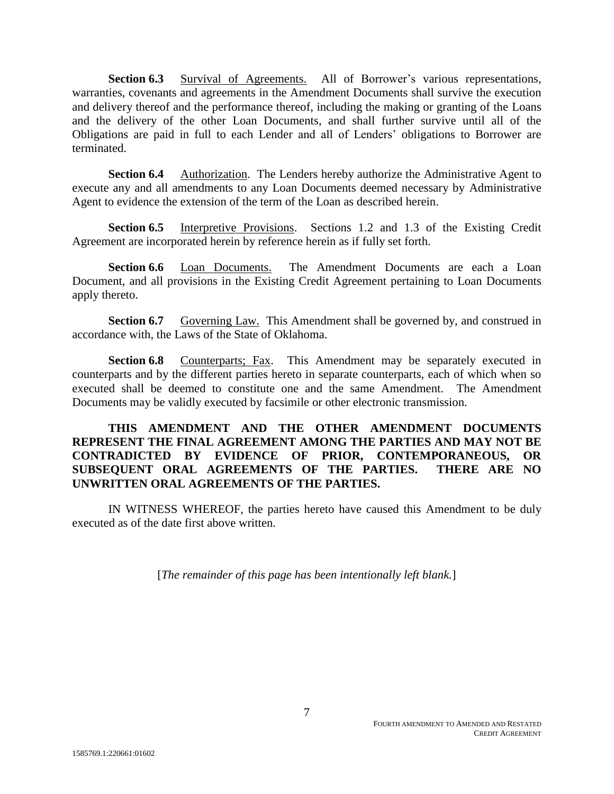**Section 6.3** Survival of Agreements. All of Borrower's various representations, warranties, covenants and agreements in the Amendment Documents shall survive the execution and delivery thereof and the performance thereof, including the making or granting of the Loans and the delivery of the other Loan Documents, and shall further survive until all of the Obligations are paid in full to each Lender and all of Lenders' obligations to Borrower are terminated.

**Section 6.4** Authorization. The Lenders hereby authorize the Administrative Agent to execute any and all amendments to any Loan Documents deemed necessary by Administrative Agent to evidence the extension of the term of the Loan as described herein.

**Section 6.5** Interpretive Provisions. Sections 1.2 and 1.3 of the Existing Credit Agreement are incorporated herein by reference herein as if fully set forth.

**Section 6.6** Loan Documents. The Amendment Documents are each a Loan Document, and all provisions in the Existing Credit Agreement pertaining to Loan Documents apply thereto.

**Section 6.7** Governing Law. This Amendment shall be governed by, and construed in accordance with, the Laws of the State of Oklahoma.

**Section 6.8** Counterparts; Fax. This Amendment may be separately executed in counterparts and by the different parties hereto in separate counterparts, each of which when so executed shall be deemed to constitute one and the same Amendment. The Amendment Documents may be validly executed by facsimile or other electronic transmission.

#### **THIS AMENDMENT AND THE OTHER AMENDMENT DOCUMENTS REPRESENT THE FINAL AGREEMENT AMONG THE PARTIES AND MAY NOT BE CONTRADICTED BY EVIDENCE OF PRIOR, CONTEMPORANEOUS, OR SUBSEQUENT ORAL AGREEMENTS OF THE PARTIES. THERE ARE NO UNWRITTEN ORAL AGREEMENTS OF THE PARTIES.**

IN WITNESS WHEREOF, the parties hereto have caused this Amendment to be duly executed as of the date first above written.

[*The remainder of this page has been intentionally left blank.*]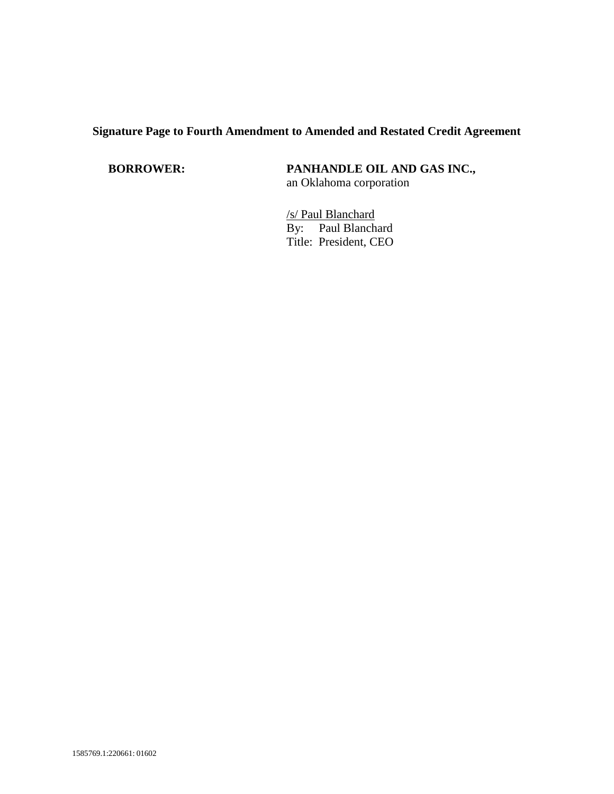**BORROWER: PANHANDLE OIL AND GAS INC.,**  an Oklahoma corporation

> /s/ Paul Blanchard By: Paul Blanchard Title: President, CEO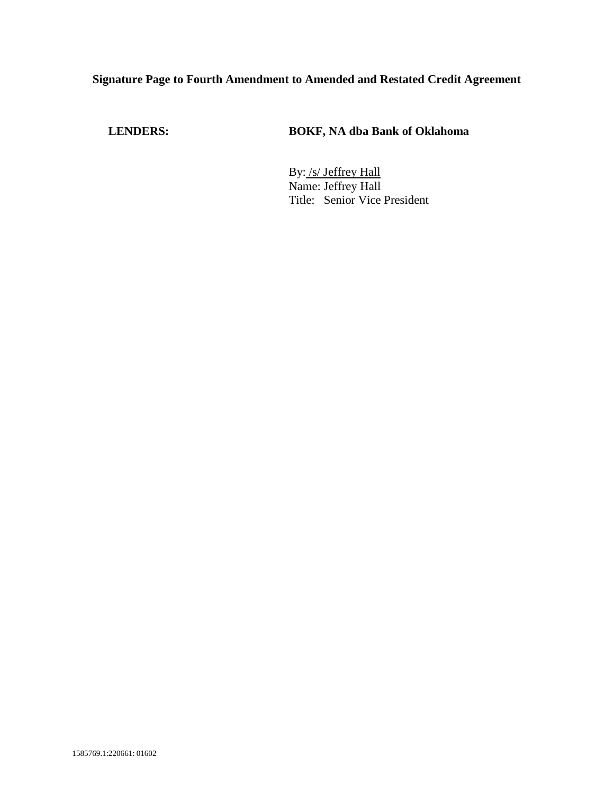#### **LENDERS: BOKF, NA dba Bank of Oklahoma**

By: /s/ Jeffrey Hall Name: Jeffrey Hall Title: Senior Vice President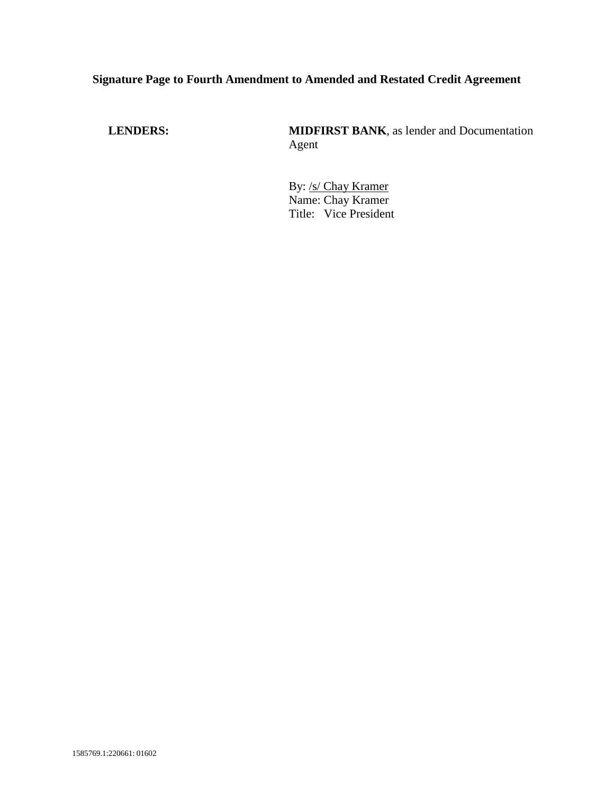**LENDERS: MIDFIRST BANK**, as lender and Documentation Agent

> By: /s/ Chay Kramer Name: Chay Kramer Title: Vice President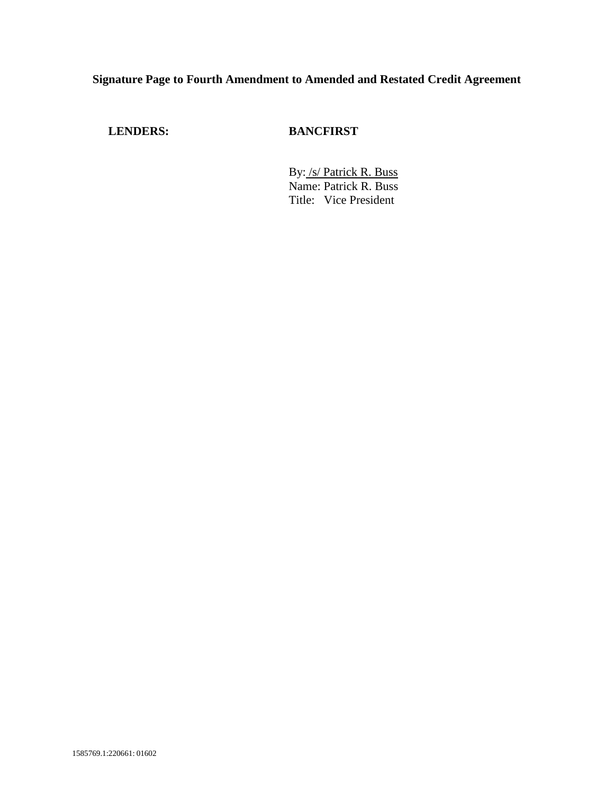#### **LENDERS: BANCFIRST**

By: /s/ Patrick R. Buss Name: Patrick R. Buss Title: Vice President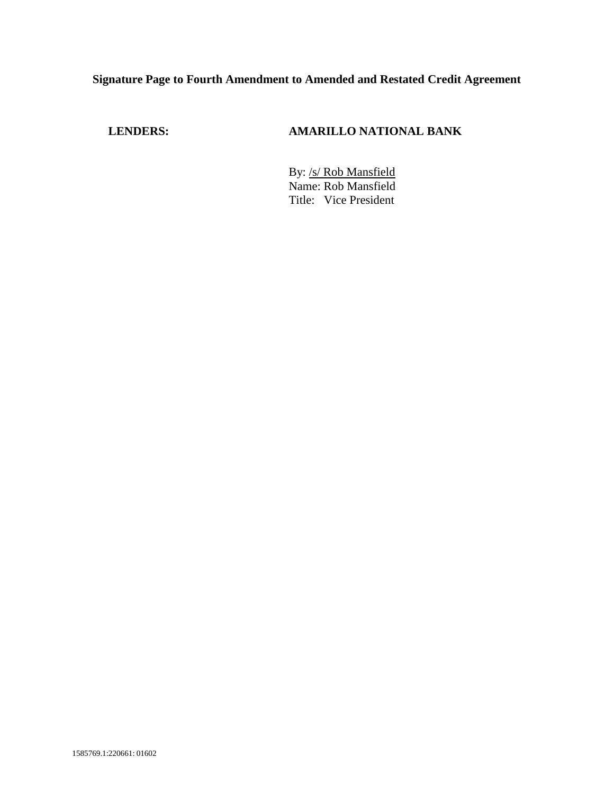## **LENDERS: AMARILLO NATIONAL BANK**

By: /s/ Rob Mansfield Name: Rob Mansfield Title: Vice President